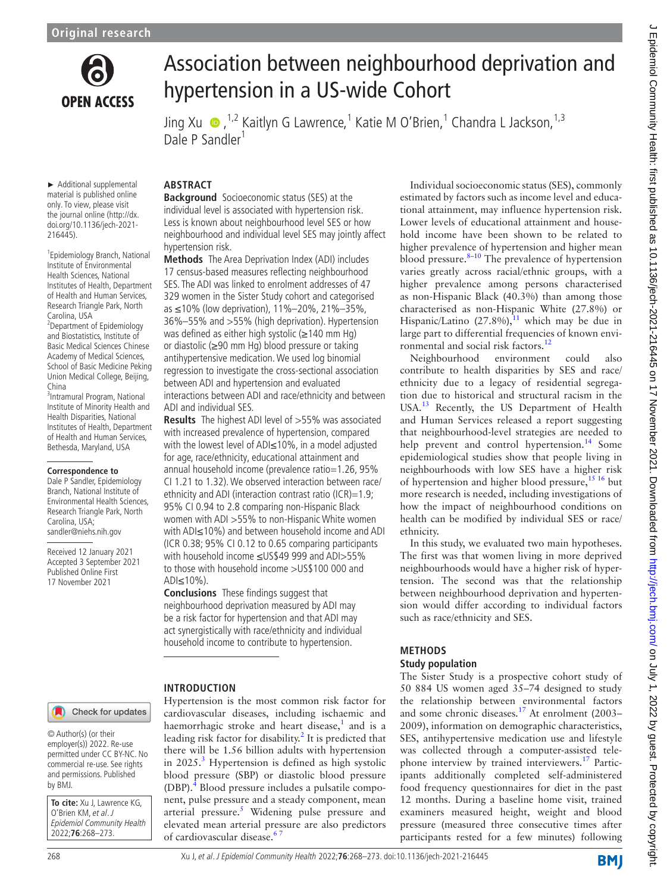

# Association between neighbourhood deprivation and hypertension in a US-wide Cohort

JingXu  $\bigcirc$ , <sup>1,2</sup> Kaitlyn G Lawrence, <sup>1</sup> Katie M O'Brien, <sup>1</sup> Chandra L Jackson, <sup>1,3</sup> Dale P Sandler<sup>1</sup>

► Additional supplemental material is published online only. To view, please visit the journal online [\(http://dx.](http://dx.doi.org/10.1136/jech-2021-216445) [doi.org/10.1136/jech-2021-](http://dx.doi.org/10.1136/jech-2021-216445) [216445](http://dx.doi.org/10.1136/jech-2021-216445)).

1 Epidemiology Branch, National Institute of Environmental Health Sciences, National Institutes of Health, Department of Health and Human Services, Research Triangle Park, North Carolina, USA

2 Department of Epidemiology and Biostatistics, Institute of Basic Medical Sciences Chinese Academy of Medical Sciences, School of Basic Medicine Peking Union Medical College, Beijing, China

3 Intramural Program, National Institute of Minority Health and Health Disparities, National Institutes of Health, Department of Health and Human Services, Bethesda, Maryland, USA

#### **Correspondence to**

Dale P Sandler, Epidemiology Branch, National Institute of Environmental Health Sciences, Research Triangle Park, North Carolina, USA; sandler@niehs.nih.gov

Received 12 January 2021 Accepted 3 September 2021 Published Online First 17 November 2021

# **ABSTRACT**

**Background** Socioeconomic status (SES) at the individual level is associated with hypertension risk. Less is known about neighbourhood level SES or how neighbourhood and individual level SES may jointly affect hypertension risk.

**Methods** The Area Deprivation Index (ADI) includes 17 census-based measures reflecting neighbourhood SES. The ADI was linked to enrolment addresses of 47 329 women in the Sister Study cohort and categorised as ≤10% (low deprivation), 11%–20%, 21%–35%, 36%–55% and >55% (high deprivation). Hypertension was defined as either high systolic (≥140 mm Hg) or diastolic (≥90 mm Hg) blood pressure or taking antihypertensive medication. We used log binomial regression to investigate the cross-sectional association between ADI and hypertension and evaluated interactions between ADI and race/ethnicity and between ADI and individual SES.

**Results** The highest ADI level of >55% was associated with increased prevalence of hypertension, compared with the lowest level of ADI≤10%, in a model adjusted for age, race/ethnicity, educational attainment and annual household income (prevalence ratio=1.26, 95% CI 1.21 to 1.32). We observed interaction between race/ ethnicity and ADI (interaction contrast ratio (ICR)=1.9; 95% CI 0.94 to 2.8 comparing non-Hispanic Black women with ADI >55% to non-Hispanic White women with ADI≤10%) and between household income and ADI (ICR 0.38; 95% CI 0.12 to 0.65 comparing participants with household income ≤US\$49 999 and ADI>55% to those with household income >US\$100 000 and ADI≤10%).

**Conclusions** These findings suggest that neighbourhood deprivation measured by ADI may be a risk factor for hypertension and that ADI may act synergistically with race/ethnicity and individual household income to contribute to hypertension.

#### **INTRODUCTION**

Hypertension is the most common risk factor for cardiovascular diseases, including ischaemic and haemorrhagic stroke and heart disease,<sup>[1](#page-5-0)</sup> and is a leading risk factor for disability.<sup>2</sup> It is predicted that there will be 1.56 billion adults with hypertension in  $2025$ .<sup>[3](#page-5-2)</sup> Hypertension is defined as high systolic blood pressure (SBP) or diastolic blood pressure (DBP).<sup>[4](#page-5-3)</sup> Blood pressure includes a pulsatile component, pulse pressure and a steady component, mean arterial pressure.<sup>[5](#page-5-4)</sup> Widening pulse pressure and elevated mean arterial pressure are also predictors of cardiovascular disease.<sup>6</sup>

Individual socioeconomic status (SES), commonly estimated by factors such as income level and educational attainment, may influence hypertension risk. Lower levels of educational attainment and household income have been shown to be related to higher prevalence of hypertension and higher mean blood pressure. $8-10$  The prevalence of hypertension varies greatly across racial/ethnic groups, with a higher prevalence among persons characterised as non-Hispanic Black (40.3%) than among those characterised as non-Hispanic White (27.8%) or Hispanic/Latino (27.8%), $^{11}$  $^{11}$  $^{11}$  which may be due in large part to differential frequencies of known envi-ronmental and social risk factors.<sup>[12](#page-5-8)</sup>

Neighbourhood environment could also contribute to health disparities by SES and race/ ethnicity due to a legacy of residential segregation due to historical and structural racism in the USA.<sup>13</sup> Recently, the US Department of Health and Human Services released a report suggesting that neighbourhood-level strategies are needed to help prevent and control hypertension.<sup>[14](#page-5-10)</sup> Some epidemiological studies show that people living in neighbourhoods with low SES have a higher risk of hypertension and higher blood pressure,  $15 \frac{16}{16}$  but more research is needed, including investigations of how the impact of neighbourhood conditions on health can be modified by individual SES or race/ ethnicity.

In this study, we evaluated two main hypotheses. The first was that women living in more deprived neighbourhoods would have a higher risk of hypertension. The second was that the relationship between neighbourhood deprivation and hypertension would differ according to individual factors such as race/ethnicity and SES.

## **METHODS**

#### **Study population**

The Sister Study is a prospective cohort study of 50 884 US women aged 35–74 designed to study the relationship between environmental factors and some chronic diseases.[17](#page-5-12) At enrolment (2003– 2009), information on demographic characteristics, SES, antihypertensive medication use and lifestyle was collected through a computer-assisted tele-phone interview by trained interviewers.<sup>[17](#page-5-12)</sup> Participants additionally completed self-administered food frequency questionnaires for diet in the past 12 months. During a baseline home visit, trained examiners measured height, weight and blood pressure (measured three consecutive times after participants rested for a few minutes) following

Check for updates

© Author(s) (or their employer(s)) 2022. Re-use permitted under CC BY-NC. No commercial re-use. See rights and permissions. Published by BMJ.

**To cite:** Xu J, Lawrence KG, O'Brien KM, et al. J Epidemiol Community Health 2022;**76**:268–273.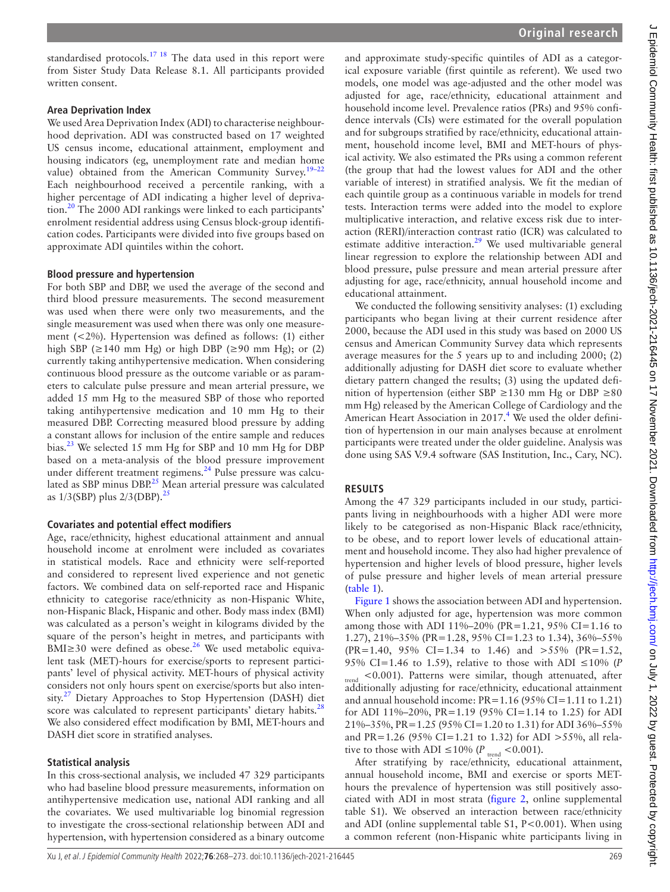standardised protocols.<sup>17</sup><sup>18</sup> The data used in this report were from Sister Study Data Release 8.1. All participants provided written consent.

## **Area Deprivation Index**

We used Area Deprivation Index (ADI) to characterise neighbourhood deprivation. ADI was constructed based on 17 weighted US census income, educational attainment, employment and housing indicators (eg, unemployment rate and median home value) obtained from the American Community Survey.<sup>19-22</sup> Each neighbourhood received a percentile ranking, with a higher percentage of ADI indicating a higher level of deprivation.<sup>20</sup> The 2000 ADI rankings were linked to each participants' enrolment residential address using Census block-group identification codes. Participants were divided into five groups based on approximate ADI quintiles within the cohort.

## **Blood pressure and hypertension**

For both SBP and DBP, we used the average of the second and third blood pressure measurements. The second measurement was used when there were only two measurements, and the single measurement was used when there was only one measurement (<2%). Hypertension was defined as follows: (1) either high SBP ( $\geq$ 140 mm Hg) or high DBP ( $\geq$ 90 mm Hg); or (2) currently taking antihypertensive medication. When considering continuous blood pressure as the outcome variable or as parameters to calculate pulse pressure and mean arterial pressure, we added 15 mm Hg to the measured SBP of those who reported taking antihypertensive medication and 10 mm Hg to their measured DBP. Correcting measured blood pressure by adding a constant allows for inclusion of the entire sample and reduces bias.<sup>23</sup> We selected 15 mm Hg for SBP and 10 mm Hg for DBP based on a meta-analysis of the blood pressure improvement under different treatment regimens. $^{24}$  Pulse pressure was calcu-lated as SBP minus DBP.<sup>[25](#page-5-17)</sup> Mean arterial pressure was calculated as  $1/3$ (SBP) plus  $2/3$ (DBP).<sup>[25](#page-5-17)</sup>

# **Covariates and potential effect modifiers**

Age, race/ethnicity, highest educational attainment and annual household income at enrolment were included as covariates in statistical models. Race and ethnicity were self-reported and considered to represent lived experience and not genetic factors. We combined data on self-reported race and Hispanic ethnicity to categorise race/ethnicity as non-Hispanic White, non-Hispanic Black, Hispanic and other. Body mass index (BMI) was calculated as a person's weight in kilograms divided by the square of the person's height in metres, and participants with BMI≥30 were defined as obese.[26](#page-5-18) We used metabolic equivalent task (MET)-hours for exercise/sports to represent participants' level of physical activity. MET-hours of physical activity considers not only hours spent on exercise/sports but also inten-sity.<sup>[27](#page-5-19)</sup> Dietary Approaches to Stop Hypertension (DASH) diet score was calculated to represent participants' dietary habits.<sup>[28](#page-5-20)</sup> We also considered effect modification by BMI, MET-hours and DASH diet score in stratified analyses.

# **Statistical analysis**

In this cross-sectional analysis, we included 47 329 participants who had baseline blood pressure measurements, information on antihypertensive medication use, national ADI ranking and all the covariates. We used multivariable log binomial regression to investigate the cross-sectional relationship between ADI and hypertension, with hypertension considered as a binary outcome

and approximate study-specific quintiles of ADI as a categorical exposure variable (first quintile as referent). We used two models, one model was age-adjusted and the other model was adjusted for age, race/ethnicity, educational attainment and household income level. Prevalence ratios (PRs) and 95% confidence intervals (CIs) were estimated for the overall population and for subgroups stratified by race/ethnicity, educational attainment, household income level, BMI and MET-hours of physical activity. We also estimated the PRs using a common referent (the group that had the lowest values for ADI and the other variable of interest) in stratified analysis. We fit the median of each quintile group as a continuous variable in models for trend tests. Interaction terms were added into the model to explore multiplicative interaction, and relative excess risk due to interaction (RERI)/interaction contrast ratio (ICR) was calculated to estimate additive interaction.<sup>[29](#page-5-21)</sup> We used multivariable general linear regression to explore the relationship between ADI and blood pressure, pulse pressure and mean arterial pressure after adjusting for age, race/ethnicity, annual household income and educational attainment.

We conducted the following sensitivity analyses: (1) excluding participants who began living at their current residence after 2000, because the ADI used in this study was based on 2000 US census and American Community Survey data which represents average measures for the 5 years up to and including 2000; (2) additionally adjusting for DASH diet score to evaluate whether dietary pattern changed the results; (3) using the updated definition of hypertension (either SBP  $\geq$ 130 mm Hg or DBP  $\geq$ 80 mm Hg) released by the American College of Cardiology and the American Heart Association in 2017.<sup>4</sup> We used the older definition of hypertension in our main analyses because at enrolment participants were treated under the older guideline. Analysis was done using SAS V.9.4 software (SAS Institution, Inc., Cary, NC).

# **RESULTS**

Among the 47 329 participants included in our study, participants living in neighbourhoods with a higher ADI were more likely to be categorised as non-Hispanic Black race/ethnicity, to be obese, and to report lower levels of educational attainment and household income. They also had higher prevalence of hypertension and higher levels of blood pressure, higher levels of pulse pressure and higher levels of mean arterial pressure ([table](#page-2-0) 1).

[Figure](#page-2-1) 1 shows the association between ADI and hypertension. When only adjusted for age, hypertension was more common among those with ADI 11%–20% (PR=1.21, 95% CI=1.16 to 1.27), 21%–35% (PR=1.28, 95% CI=1.23 to 1.34), 36%–55% (PR=1.40, 95% CI=1.34 to 1.46) and >55% (PR=1.52, 95% CI=1.46 to 1.59), relative to those with ADI  $\leq 10\%$  (*P* <sub>trend</sub> <0.001). Patterns were similar, though attenuated, after additionally adjusting for race/ethnicity, educational attainment and annual household income: PR=1.16 (95% CI=1.11 to 1.21) for ADI 11%–20%, PR=1.19 (95% CI=1.14 to 1.25) for ADI 21%–35%, PR=1.25 (95% CI=1.20 to 1.31) for ADI 36%–55% and PR=1.26 (95% CI=1.21 to 1.32) for ADI >55%, all relative to those with ADI  $\leq 10\%$  (*P*<sub>trend</sub> <0.001).

After stratifying by race/ethnicity, educational attainment, annual household income, BMI and exercise or sports METhours the prevalence of hypertension was still positively associated with ADI in most strata [\(figure](#page-3-0) 2, [online supplemental](https://dx.doi.org/10.1136/jech-2021-216445) [table S1](https://dx.doi.org/10.1136/jech-2021-216445)). We observed an interaction between race/ethnicity and ADI (online supplemental table  $S1$ ,  $P < 0.001$ ). When using a common referent (non-Hispanic white participants living in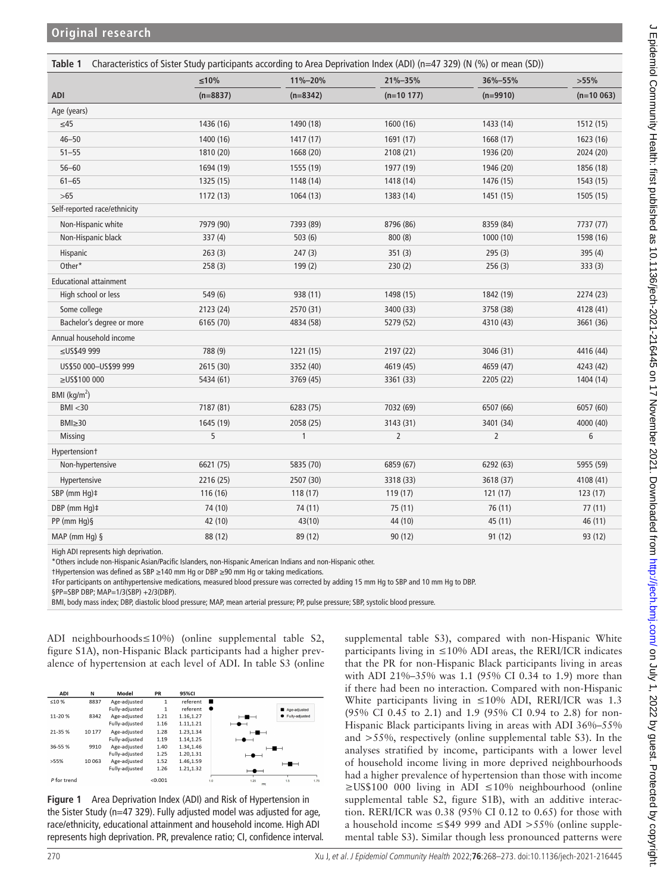<span id="page-2-0"></span>

|                               | $≤10%$     | 11%-20%      | 21%-35%        | 36%-55%        | >55%        |
|-------------------------------|------------|--------------|----------------|----------------|-------------|
| ADI                           | $(n=8837)$ | $(n=8342)$   | $(n=10 177)$   | $(n=9910)$     | $(n=10063)$ |
| Age (years)                   |            |              |                |                |             |
| $\leq$ 45                     | 1436 (16)  | 1490 (18)    | 1600 (16)      | 1433 (14)      | 1512 (15)   |
| $46 - 50$                     | 1400 (16)  | 1417(17)     | 1691 (17)      | 1668 (17)      | 1623 (16)   |
| $51 - 55$                     | 1810 (20)  | 1668 (20)    | 2108 (21)      | 1936 (20)      | 2024 (20)   |
| $56 - 60$                     | 1694 (19)  | 1555 (19)    | 1977 (19)      | 1946 (20)      | 1856 (18)   |
| $61 - 65$                     | 1325 (15)  | 1148 (14)    | 1418 (14)      | 1476 (15)      | 1543 (15)   |
| $>65$                         | 1172 (13)  | 1064 (13)    | 1383 (14)      | 1451 (15)      | 1505 (15)   |
| Self-reported race/ethnicity  |            |              |                |                |             |
| Non-Hispanic white            | 7979 (90)  | 7393 (89)    | 8796 (86)      | 8359 (84)      | 7737 (77)   |
| Non-Hispanic black            | 337(4)     | 503(6)       | 800(8)         | 1000 (10)      | 1598 (16)   |
| Hispanic                      | 263(3)     | 247(3)       | 351(3)         | 295(3)         | 395 (4)     |
| Other*                        | 258(3)     | 199(2)       | 230(2)         | 256(3)         | 333(3)      |
| <b>Educational attainment</b> |            |              |                |                |             |
| High school or less           | 549 (6)    | 938 (11)     | 1498 (15)      | 1842 (19)      | 2274 (23)   |
| Some college                  | 2123 (24)  | 2570 (31)    | 3400 (33)      | 3758 (38)      | 4128 (41)   |
| Bachelor's degree or more     | 6165 (70)  | 4834 (58)    | 5279 (52)      | 4310 (43)      | 3661 (36)   |
| Annual household income       |            |              |                |                |             |
| ≤US\$49 999                   | 788 (9)    | 1221 (15)    | 2197 (22)      | 3046 (31)      | 4416 (44)   |
| US\$50 000-US\$99 999         | 2615 (30)  | 3352 (40)    | 4619 (45)      | 4659 (47)      | 4243 (42)   |
| ≥US\$100 000                  | 5434 (61)  | 3769 (45)    | 3361 (33)      | 2205 (22)      | 1404 (14)   |
| BMI ( $\text{kg/m}^2$ )       |            |              |                |                |             |
| BMI < 30                      | 7187 (81)  | 6283 (75)    | 7032 (69)      | 6507 (66)      | 6057 (60)   |
| $BMI \geq 30$                 | 1645 (19)  | 2058 (25)    | 3143 (31)      | 3401 (34)      | 4000 (40)   |
| <b>Missing</b>                | 5          | $\mathbf{1}$ | $\overline{2}$ | $\overline{2}$ | 6           |
| Hypertensiont                 |            |              |                |                |             |
| Non-hypertensive              | 6621 (75)  | 5835 (70)    | 6859 (67)      | 6292 (63)      | 5955 (59)   |
| Hypertensive                  | 2216 (25)  | 2507 (30)    | 3318 (33)      | 3618 (37)      | 4108 (41)   |
| SBP (mm Hg)#                  | 116 (16)   | 118 (17)     | 119 (17)       | 121(17)        | 123(17)     |
| DBP (mm Hq)#                  | 74 (10)    | 74 (11)      | 75 (11)        | 76 (11)        | 77(11)      |
| PP (mm Hq) §                  | 42 (10)    | 43(10)       | 44 (10)        | 45 (11)        | 46 (11)     |
| $MAP (mm Hq)$ §               | 88 (12)    | 89 (12)      | 90 (12)        | 91 (12)        | 93 (12)     |

High ADI represents high deprivation.

\*Others include non-Hispanic Asian/Pacific Islanders, non-Hispanic American Indians and non-Hispanic other.

†Hypertension was defined as SBP ≥140 mm Hg or DBP ≥90 mm Hg or taking medications.

‡For participants on antihypertensive medications, measured blood pressure was corrected by adding 15 mm Hg to SBP and 10 mm Hg to DBP.

§PP=SBP DBP; MAP=1/3(SBP) +2/3(DBP).

BMI, body mass index; DBP, diastolic blood pressure; MAP, mean arterial pressure; PP, pulse pressure; SBP, systolic blood pressure.

ADI neighbourhoods≤10%) [\(online supplemental table S2,](https://dx.doi.org/10.1136/jech-2021-216445)  [figure S1A\)](https://dx.doi.org/10.1136/jech-2021-216445), non-Hispanic Black participants had a higher prevalence of hypertension at each level of ADI. In table S3 [\(online](https://dx.doi.org/10.1136/jech-2021-216445) 



<span id="page-2-1"></span>**Figure 1** Area Deprivation Index (ADI) and Risk of Hypertension in the Sister Study (n=47 329). Fully adjusted model was adjusted for age, race/ethnicity, educational attainment and household income. High ADI represents high deprivation. PR, prevalence ratio; CI, confidence interval. [supplemental table S3](https://dx.doi.org/10.1136/jech-2021-216445)), compared with non-Hispanic White participants living in  $\leq 10\%$  ADI areas, the RERI/ICR indicates that the PR for non-Hispanic Black participants living in areas with ADI 21%–35% was 1.1 (95% CI 0.34 to 1.9) more than if there had been no interaction. Compared with non-Hispanic White participants living in ≤10% ADI, RERI/ICR was 1.3 (95% CI 0.45 to 2.1) and 1.9 (95% CI 0.94 to 2.8) for non-Hispanic Black participants living in areas with ADI 36%–55% and >55%, respectively [\(online supplemental table S3\)](https://dx.doi.org/10.1136/jech-2021-216445). In the analyses stratified by income, participants with a lower level of household income living in more deprived neighbourhoods had a higher prevalence of hypertension than those with income ≥US\$100 000 living in ADI ≤10% neighbourhood [\(online](https://dx.doi.org/10.1136/jech-2021-216445) [supplemental table S2, figure S1B\)](https://dx.doi.org/10.1136/jech-2021-216445), with an additive interaction. RERI/ICR was 0.38 (95% CI 0.12 to 0.65) for those with a household income ≤\$49 999 and ADI >55% [\(online supple](https://dx.doi.org/10.1136/jech-2021-216445)[mental table S3\)](https://dx.doi.org/10.1136/jech-2021-216445). Similar though less pronounced patterns were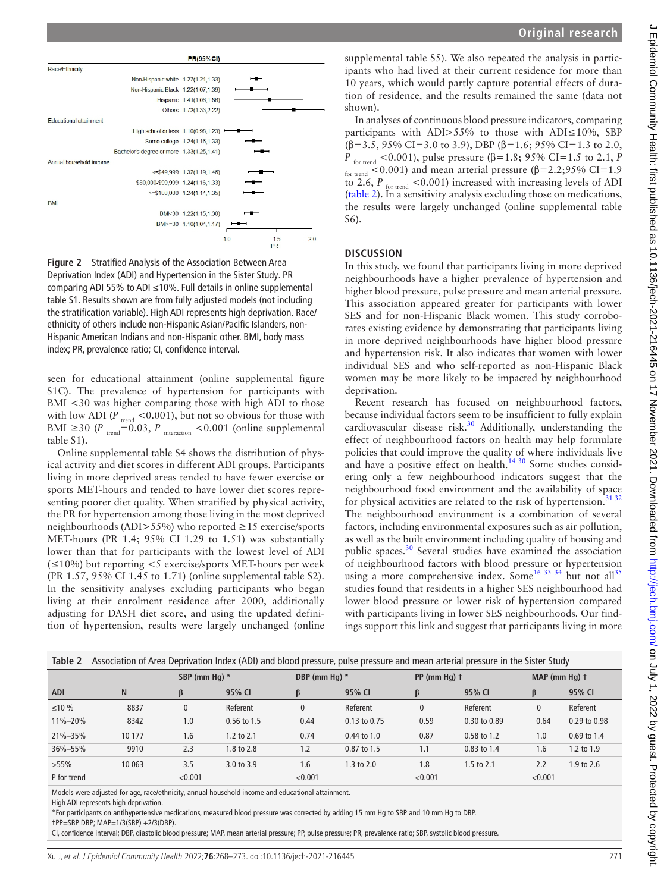



<span id="page-3-0"></span>**Figure 2** Stratified Analysis of the Association Between Area Deprivation Index (ADI) and Hypertension in the Sister Study. PR comparing ADI 55% to ADI ≤10%. Full details in [online supplemental](https://dx.doi.org/10.1136/jech-2021-216445)  [table S1.](https://dx.doi.org/10.1136/jech-2021-216445) Results shown are from fully adjusted models (not including the stratification variable). High ADI represents high deprivation. Race/ ethnicity of others include non-Hispanic Asian/Pacific Islanders, non-Hispanic American Indians and non-Hispanic other. BMI, body mass index; PR, prevalence ratio; CI, confidence interval.

seen for educational attainment [\(online supplemental figure](https://dx.doi.org/10.1136/jech-2021-216445)  [S1C](https://dx.doi.org/10.1136/jech-2021-216445)). The prevalence of hypertension for participants with BMI <30 was higher comparing those with high ADI to those with low ADI ( $P_{\text{trend}} < 0.001$ ), but not so obvious for those with BMI  $\geq$ 30 (*P*<sub>trend</sub>=0.03, *P*<sub>interaction</sub> <0.001 (online supplemental [table S1\)](https://dx.doi.org/10.1136/jech-2021-216445).

[Online supplemental table S4](https://dx.doi.org/10.1136/jech-2021-216445) shows the distribution of physical activity and diet scores in different ADI groups. Participants living in more deprived areas tended to have fewer exercise or sports MET-hours and tended to have lower diet scores representing poorer diet quality. When stratified by physical activity, the PR for hypertension among those living in the most deprived neighbourhoods (ADI>55%) who reported ≥15 exercise/sports MET-hours (PR 1.4; 95% CI 1.29 to 1.51) was substantially lower than that for participants with the lowest level of ADI  $(\leq 10\%)$  but reporting  $<$  s exercise/sports MET-hours per week (PR 1.57, 95% CI 1.45 to 1.71) [\(online supplemental table S2](https://dx.doi.org/10.1136/jech-2021-216445)). In the sensitivity analyses excluding participants who began living at their enrolment residence after 2000, additionally adjusting for DASH diet score, and using the updated definition of hypertension, results were largely unchanged [\(online](https://dx.doi.org/10.1136/jech-2021-216445) 

[supplemental table S5](https://dx.doi.org/10.1136/jech-2021-216445)). We also repeated the analysis in participants who had lived at their current residence for more than 10 years, which would partly capture potential effects of duration of residence, and the results remained the same (data not shown).

In analyses of continuous blood pressure indicators, comparing participants with ADI>55% to those with ADI≤10%, SBP ( $\beta$ =3.5, 95% CI=3.0 to 3.9), DBP ( $\beta$ =1.6; 95% CI=1.3 to 2.0, *P* for trend <0.001), pulse pressure (β=1.8; 95% CI=1.5 to 2.1, *P* for trend <0.001) and mean arterial pressure ( $\beta$ =2.2;95% CI=1.9 to 2.6,  $P_{\text{for trend}}$  <0.001) increased with increasing levels of ADI ([table](#page-3-1) 2). In a sensitivity analysis excluding those on medications, the results were largely unchanged ([online supplemental table](https://dx.doi.org/10.1136/jech-2021-216445) [S6](https://dx.doi.org/10.1136/jech-2021-216445)).

## **DISCUSSION**

In this study, we found that participants living in more deprived neighbourhoods have a higher prevalence of hypertension and higher blood pressure, pulse pressure and mean arterial pressure. This association appeared greater for participants with lower SES and for non-Hispanic Black women. This study corroborates existing evidence by demonstrating that participants living in more deprived neighbourhoods have higher blood pressure and hypertension risk. It also indicates that women with lower individual SES and who self-reported as non-Hispanic Black women may be more likely to be impacted by neighbourhood deprivation.

Recent research has focused on neighbourhood factors, because individual factors seem to be insufficient to fully explain cardiovascular disease risk.<sup>30</sup> Additionally, understanding the effect of neighbourhood factors on health may help formulate policies that could improve the quality of where individuals live and have a positive effect on health.<sup>[14 30](#page-5-10)</sup> Some studies considering only a few neighbourhood indicators suggest that the neighbourhood food environment and the availability of space for physical activities are related to the risk of hypertension.<sup>3132</sup> The neighbourhood environment is a combination of several factors, including environmental exposures such as air pollution, as well as the built environment including quality of housing and public spaces.<sup>[30](#page-5-22)</sup> Several studies have examined the association of neighbourhood factors with blood pressure or hypertension using a more comprehensive index. Some<sup>16 33 34</sup> but not all<sup>[35](#page-5-25)</sup> studies found that residents in a higher SES neighbourhood had lower blood pressure or lower risk of hypertension compared with participants living in lower SES neighbourhoods. Our findings support this link and suggest that participants living in more

<span id="page-3-1"></span>

| Table 2       | Association of Area Deprivation Index (ADI) and blood pressure, pulse pressure and mean arterial pressure in the Sister Study |               |               |               |                       |                |              |                 |              |  |  |
|---------------|-------------------------------------------------------------------------------------------------------------------------------|---------------|---------------|---------------|-----------------------|----------------|--------------|-----------------|--------------|--|--|
|               |                                                                                                                               | SBP (mm Hq) * |               | DBP (mm Hg) * |                       | $PP (mm Hq)$ † |              | $MAP (mm Hq)$ † |              |  |  |
| <b>ADI</b>    | N                                                                                                                             | ß             | 95% CI        |               | 95% CI                | β              | 95% CI       | B               | 95% CI       |  |  |
| $≤10\%$       | 8837                                                                                                                          | $\mathbf{0}$  | Referent      | $\mathbf{0}$  | Referent              | $\mathbf{0}$   | Referent     | $\mathbf{0}$    | Referent     |  |  |
| $11\% - 20\%$ | 8342                                                                                                                          | 1.0           | $0.56$ to 1.5 | 0.44          | 0.13 to 0.75          | 0.59           | 0.30 to 0.89 | 0.64            | 0.29 to 0.98 |  |  |
| 21%-35%       | 10 177                                                                                                                        | 1.6           | 1.2 to 2.1    | 0.74          | $0.44$ to 1.0         | 0.87           | 0.58 to 1.2  | 1.0             | 0.69 to 1.4  |  |  |
| 36%-55%       | 9910                                                                                                                          | 2.3           | 1.8 to 2.8    | 1.2           | 0.87 to 1.5           | 1.1            | 0.83 to 1.4  | 1.6             | 1.2 to 1.9   |  |  |
| $>55\%$       | 10 063                                                                                                                        | 3.5           | 3.0 to 3.9    | 1.6           | $1.3 \text{ to } 2.0$ | 1.8            | 1.5 to 2.1   | 2.2             | 1.9 to 2.6   |  |  |
| P for trend   |                                                                                                                               | < 0.001       |               | < 0.001       |                       | < 0.001        |              | < 0.001         |              |  |  |

Models were adjusted for age, race/ethnicity, annual household income and educational attainment.

\*For participants on antihypertensive medications, measured blood pressure was corrected by adding 15 mm Hg to SBP and 10 mm Hg to DBP.

†PP=SBP DBP; MAP=1/3(SBP) +2/3(DBP).

CI, confidence interval; DBP, diastolic blood pressure; MAP, mean arterial pressure; PP, pulse pressure; PR, prevalence ratio; SBP, systolic blood pressure.

High ADI represents high deprivation.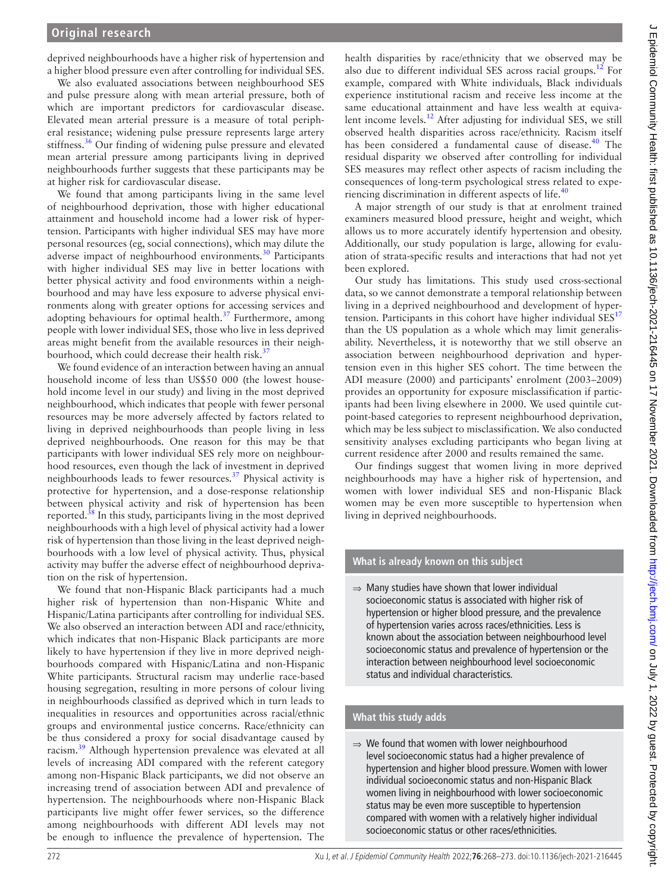deprived neighbourhoods have a higher risk of hypertension and a higher blood pressure even after controlling for individual SES.

We also evaluated associations between neighbourhood SES and pulse pressure along with mean arterial pressure, both of which are important predictors for cardiovascular disease. Elevated mean arterial pressure is a measure of total peripheral resistance; widening pulse pressure represents large artery stiffness.<sup>36</sup> Our finding of widening pulse pressure and elevated mean arterial pressure among participants living in deprived neighbourhoods further suggests that these participants may be at higher risk for cardiovascular disease.

We found that among participants living in the same level of neighbourhood deprivation, those with higher educational attainment and household income had a lower risk of hypertension. Participants with higher individual SES may have more personal resources (eg, social connections), which may dilute the adverse impact of neighbourhood environments.<sup>[30](#page-5-22)</sup> Participants with higher individual SES may live in better locations with better physical activity and food environments within a neighbourhood and may have less exposure to adverse physical environments along with greater options for accessing services and adopting behaviours for optimal health. $37$  Furthermore, among people with lower individual SES, those who live in less deprived areas might benefit from the available resources in their neighbourhood, which could decrease their health risk.<sup>3</sup>

We found evidence of an interaction between having an annual household income of less than US\$50 000 (the lowest household income level in our study) and living in the most deprived neighbourhood, which indicates that people with fewer personal resources may be more adversely affected by factors related to living in deprived neighbourhoods than people living in less deprived neighbourhoods. One reason for this may be that participants with lower individual SES rely more on neighbourhood resources, even though the lack of investment in deprived neighbourhoods leads to fewer resources. $37$  Physical activity is protective for hypertension, and a dose-response relationship between physical activity and risk of hypertension has been reported. $38$  In this study, participants living in the most deprived neighbourhoods with a high level of physical activity had a lower risk of hypertension than those living in the least deprived neighbourhoods with a low level of physical activity. Thus, physical activity may buffer the adverse effect of neighbourhood deprivation on the risk of hypertension.

We found that non-Hispanic Black participants had a much higher risk of hypertension than non-Hispanic White and Hispanic/Latina participants after controlling for individual SES. We also observed an interaction between ADI and race/ethnicity, which indicates that non-Hispanic Black participants are more likely to have hypertension if they live in more deprived neighbourhoods compared with Hispanic/Latina and non-Hispanic White participants. Structural racism may underlie race-based housing segregation, resulting in more persons of colour living in neighbourhoods classified as deprived which in turn leads to inequalities in resources and opportunities across racial/ethnic groups and environmental justice concerns. Race/ethnicity can be thus considered a proxy for social disadvantage caused by racism.<sup>39</sup> Although hypertension prevalence was elevated at all levels of increasing ADI compared with the referent category among non-Hispanic Black participants, we did not observe an increasing trend of association between ADI and prevalence of hypertension. The neighbourhoods where non-Hispanic Black participants live might offer fewer services, so the difference among neighbourhoods with different ADI levels may not be enough to influence the prevalence of hypertension. The

health disparities by race/ethnicity that we observed may be also due to different individual SES across racial groups.<sup>12</sup> For example, compared with White individuals, Black individuals experience institutional racism and receive less income at the same educational attainment and have less wealth at equivalent income levels.<sup>12</sup> After adjusting for individual SES, we still observed health disparities across race/ethnicity. Racism itself has been considered a fundamental cause of disease.<sup>40</sup> The residual disparity we observed after controlling for individual SES measures may reflect other aspects of racism including the consequences of long-term psychological stress related to expe-riencing discrimination in different aspects of life.<sup>[40](#page-5-30)</sup>

A major strength of our study is that at enrolment trained examiners measured blood pressure, height and weight, which allows us to more accurately identify hypertension and obesity. Additionally, our study population is large, allowing for evaluation of strata-specific results and interactions that had not yet been explored.

Our study has limitations. This study used cross-sectional data, so we cannot demonstrate a temporal relationship between living in a deprived neighbourhood and development of hypertension. Participants in this cohort have higher individual  $SES<sup>17</sup>$  $SES<sup>17</sup>$  $SES<sup>17</sup>$ than the US population as a whole which may limit generalisability. Nevertheless, it is noteworthy that we still observe an association between neighbourhood deprivation and hypertension even in this higher SES cohort. The time between the ADI measure (2000) and participants' enrolment (2003–2009) provides an opportunity for exposure misclassification if participants had been living elsewhere in 2000. We used quintile cutpoint-based categories to represent neighbourhood deprivation, which may be less subject to misclassification. We also conducted sensitivity analyses excluding participants who began living at current residence after 2000 and results remained the same.

Our findings suggest that women living in more deprived neighbourhoods may have a higher risk of hypertension, and women with lower individual SES and non-Hispanic Black women may be even more susceptible to hypertension when living in deprived neighbourhoods.

# **What is already known on this subject**

⇒ Many studies have shown that lower individual socioeconomic status is associated with higher risk of hypertension or higher blood pressure, and the prevalence of hypertension varies across races/ethnicities. Less is known about the association between neighbourhood level socioeconomic status and prevalence of hypertension or the interaction between neighbourhood level socioeconomic status and individual characteristics.

## **What this study adds**

⇒ We found that women with lower neighbourhood level socioeconomic status had a higher prevalence of hypertension and higher blood pressure. Women with lower individual socioeconomic status and non-Hispanic Black women living in neighbourhood with lower socioeconomic status may be even more susceptible to hypertension compared with women with a relatively higher individual socioeconomic status or other races/ethnicities.